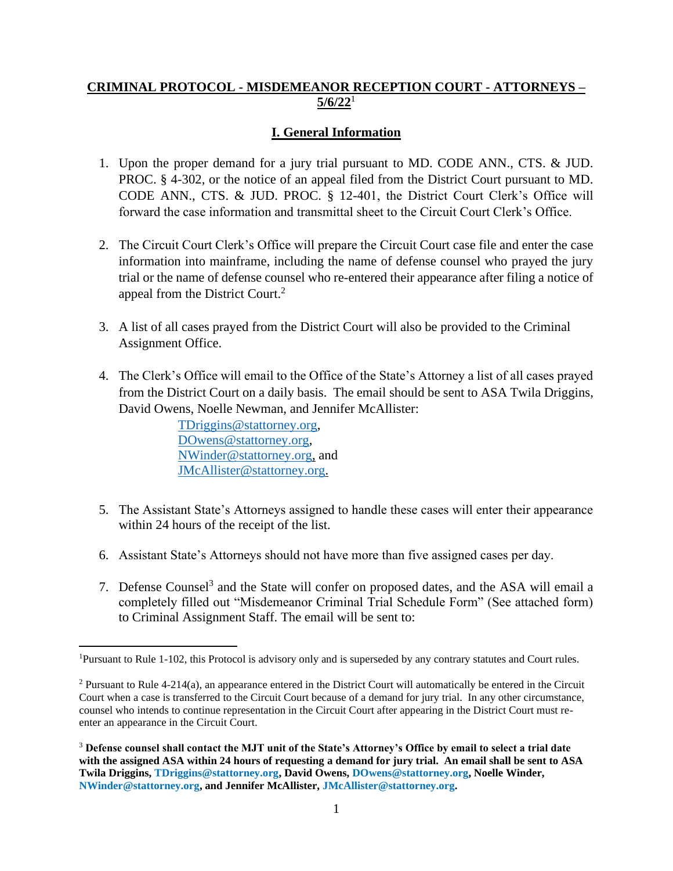## **CRIMINAL PROTOCOL - MISDEMEANOR RECEPTION COURT - ATTORNEYS – 5/6/22** 1

## **I. General Information**

- 1. Upon the proper demand for a jury trial pursuant to MD. CODE ANN., CTS. & JUD. PROC. § 4-302, or the notice of an appeal filed from the District Court pursuant to MD. CODE ANN., CTS. & JUD. PROC. § 12-401, the District Court Clerk's Office will forward the case information and transmittal sheet to the Circuit Court Clerk's Office.
- 2. The Circuit Court Clerk's Office will prepare the Circuit Court case file and enter the case information into mainframe, including the name of defense counsel who prayed the jury trial or the name of defense counsel who re-entered their appearance after filing a notice of appeal from the District Court.<sup>2</sup>
- 3. A list of all cases prayed from the District Court will also be provided to the Criminal Assignment Office.
- 4. The Clerk's Office will email to the Office of the State's Attorney a list of all cases prayed from the District Court on a daily basis. The email should be sent to ASA Twila Driggins, David Owens, Noelle Newman, and Jennifer McAllister:

 [TDriggins@stattorney.org,](mailto:TDriggins@stattorney.org) [DOwens@stattorney.org,](mailto:DOwens@stattorney.org) [NWinder@stattorney.org,](mailto:NWinder@stattorney.org) and [JMcAllister@stattorney.org.](mailto:JMcAllister@stattorney.org)

- 5. The Assistant State's Attorneys assigned to handle these cases will enter their appearance within 24 hours of the receipt of the list.
- 6. Assistant State's Attorneys should not have more than five assigned cases per day.
- 7. Defense Counsel<sup>3</sup> and the State will confer on proposed dates, and the ASA will email a completely filled out "Misdemeanor Criminal Trial Schedule Form" (See attached form) to Criminal Assignment Staff. The email will be sent to:

<sup>1</sup>Pursuant to Rule 1-102, this Protocol is advisory only and is superseded by any contrary statutes and Court rules.

<sup>2</sup> Pursuant to Rule 4-214(a), an appearance entered in the District Court will automatically be entered in the Circuit Court when a case is transferred to the Circuit Court because of a demand for jury trial. In any other circumstance, counsel who intends to continue representation in the Circuit Court after appearing in the District Court must reenter an appearance in the Circuit Court.

<sup>3</sup> **Defense counsel shall contact the MJT unit of the State's Attorney's Office by email to select a trial date with the assigned ASA within 24 hours of requesting a demand for jury trial. An email shall be sent to ASA Twila Driggins, TDriggins@stattorney.org, David Owens, DOwens@stattorney.org, Noelle Winder, NWinder@stattorney.org, and Jennifer McAllister, JMcAllister@stattorney.org.**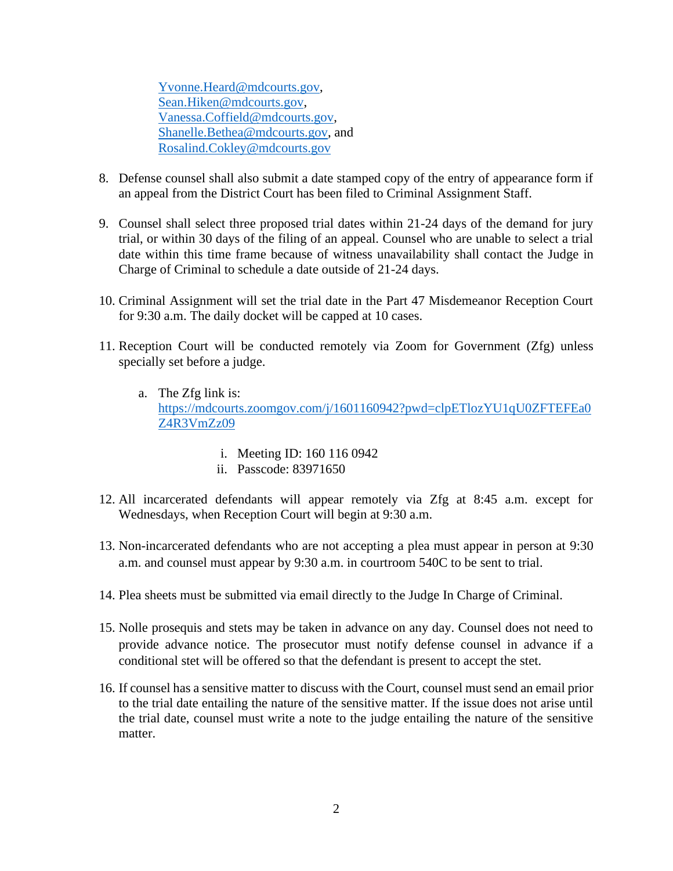[Yvonne.Heard@mdcourts.gov,](mailto:Yvonne.Heard@mdcourts.gov) [Sean.Hiken@mdcourts.gov,](mailto:Sean.Hiken@mdcourts.gov) [Vanessa.Coffield@mdcourts.gov,](mailto:Vanessa.Coffield@mdcourts.gov) [Shanelle.Bethea@mdcourts.gov,](mailto:Shanelle.Bethea@mdcourts.gov) and [Rosalind.Cokley@mdcourts.gov](mailto:Rosalind.Cokley@mdcourts.gov)

- 8. Defense counsel shall also submit a date stamped copy of the entry of appearance form if an appeal from the District Court has been filed to Criminal Assignment Staff.
- 9. Counsel shall select three proposed trial dates within 21-24 days of the demand for jury trial, or within 30 days of the filing of an appeal. Counsel who are unable to select a trial date within this time frame because of witness unavailability shall contact the Judge in Charge of Criminal to schedule a date outside of 21-24 days.
- 10. Criminal Assignment will set the trial date in the Part 47 Misdemeanor Reception Court for 9:30 a.m. The daily docket will be capped at 10 cases.
- 11. Reception Court will be conducted remotely via Zoom for Government (Zfg) unless specially set before a judge.
	- a. The Zfg link is: [https://mdcourts.zoomgov.com/j/1601160942?pwd=clpETlozYU1qU0ZFTEFEa0](https://mdcourts.zoomgov.com/j/1601160942?pwd=clpETlozYU1qU0ZFTEFEa0Z4R3VmZz09) [Z4R3VmZz09](https://mdcourts.zoomgov.com/j/1601160942?pwd=clpETlozYU1qU0ZFTEFEa0Z4R3VmZz09)
		- i. Meeting ID: 160 116 0942
		- ii. Passcode: 83971650
- 12. All incarcerated defendants will appear remotely via Zfg at 8:45 a.m. except for Wednesdays, when Reception Court will begin at 9:30 a.m.
- 13. Non-incarcerated defendants who are not accepting a plea must appear in person at 9:30 a.m. and counsel must appear by 9:30 a.m. in courtroom 540C to be sent to trial.
- 14. Plea sheets must be submitted via email directly to the Judge In Charge of Criminal.
- 15. Nolle prosequis and stets may be taken in advance on any day. Counsel does not need to provide advance notice. The prosecutor must notify defense counsel in advance if a conditional stet will be offered so that the defendant is present to accept the stet.
- 16. If counsel has a sensitive matter to discuss with the Court, counsel must send an email prior to the trial date entailing the nature of the sensitive matter. If the issue does not arise until the trial date, counsel must write a note to the judge entailing the nature of the sensitive matter.